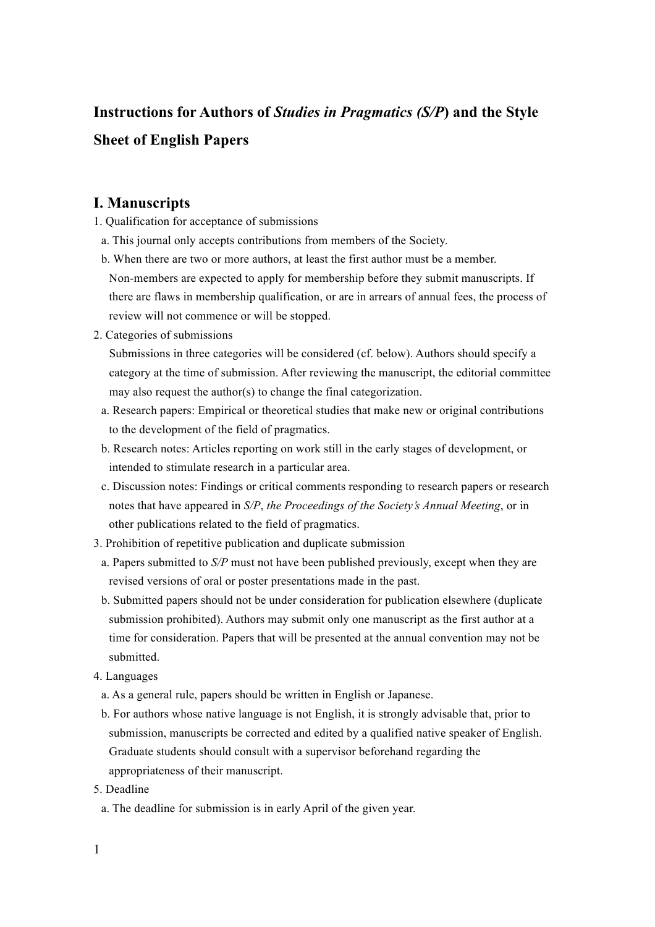## **Instructions for Authors of** *Studies in Pragmatics (S/P***) and the Style Sheet of English Papers**

## **I. Manuscripts**

- 1. Qualification for acceptance of submissions
- a. This journal only accepts contributions from members of the Society.
- b. When there are two or more authors, at least the first author must be a member. Non-members are expected to apply for membership before they submit manuscripts. If there are flaws in membership qualification, or are in arrears of annual fees, the process of review will not commence or will be stopped.
- 2. Categories of submissions

Submissions in three categories will be considered (cf. below). Authors should specify a category at the time of submission. After reviewing the manuscript, the editorial committee may also request the author(s) to change the final categorization.

- a. Research papers: Empirical or theoretical studies that make new or original contributions to the development of the field of pragmatics.
- b. Research notes: Articles reporting on work still in the early stages of development, or intended to stimulate research in a particular area.
- c. Discussion notes: Findings or critical comments responding to research papers or research notes that have appeared in *S/P*, *the Proceedings of the Society's Annual Meeting*, or in other publications related to the field of pragmatics.
- 3. Prohibition of repetitive publication and duplicate submission
	- a. Papers submitted to *S/P* must not have been published previously, except when they are revised versions of oral or poster presentations made in the past.
- b. Submitted papers should not be under consideration for publication elsewhere (duplicate submission prohibited). Authors may submit only one manuscript as the first author at a time for consideration. Papers that will be presented at the annual convention may not be submitted.
- 4. Languages
	- a. As a general rule, papers should be written in English or Japanese.
- b. For authors whose native language is not English, it is strongly advisable that, prior to submission, manuscripts be corrected and edited by a qualified native speaker of English. Graduate students should consult with a supervisor beforehand regarding the appropriateness of their manuscript.
- 5. Deadline
	- a. The deadline for submission is in early April of the given year.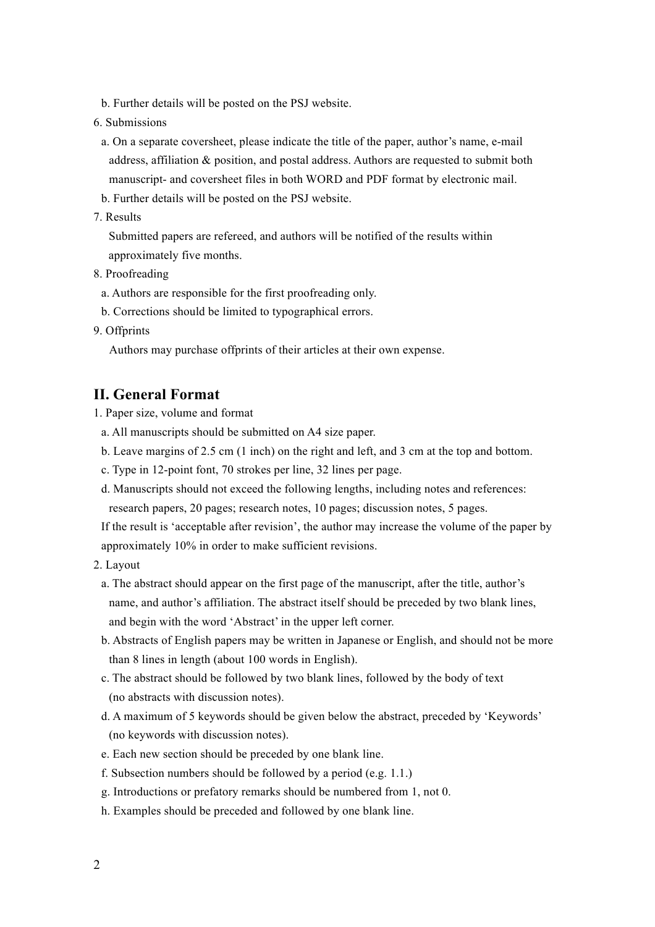- b. Further details will be posted on the PSJ website.
- 6. Submissions
	- a. On a separate coversheet, please indicate the title of the paper, author's name, e-mail address, affiliation & position, and postal address. Authors are requested to submit both manuscript- and coversheet files in both WORD and PDF format by electronic mail.
- b. Further details will be posted on the PSJ website.
- 7. Results

Submitted papers are refereed, and authors will be notified of the results within approximately five months.

- 8. Proofreading
- a. Authors are responsible for the first proofreading only.
- b. Corrections should be limited to typographical errors.
- 9. Offprints

Authors may purchase offprints of their articles at their own expense.

## **II. General Format**

- 1. Paper size, volume and format
	- a. All manuscripts should be submitted on A4 size paper.
	- b. Leave margins of 2.5 cm (1 inch) on the right and left, and 3 cm at the top and bottom.
	- c. Type in 12-point font, 70 strokes per line, 32 lines per page.
	- d. Manuscripts should not exceed the following lengths, including notes and references: research papers, 20 pages; research notes, 10 pages; discussion notes, 5 pages.

If the result is 'acceptable after revision', the author may increase the volume of the paper by approximately 10% in order to make sufficient revisions.

- 2. Layout
	- a. The abstract should appear on the first page of the manuscript, after the title, author's name, and author's affiliation. The abstract itself should be preceded by two blank lines, and begin with the word 'Abstract' in the upper left corner.
	- b. Abstracts of English papers may be written in Japanese or English, and should not be more than 8 lines in length (about 100 words in English).
	- c. The abstract should be followed by two blank lines, followed by the body of text (no abstracts with discussion notes).
	- d. A maximum of 5 keywords should be given below the abstract, preceded by 'Keywords' (no keywords with discussion notes).
	- e. Each new section should be preceded by one blank line.
	- f. Subsection numbers should be followed by a period (e.g. 1.1.)
	- g. Introductions or prefatory remarks should be numbered from 1, not 0.
	- h. Examples should be preceded and followed by one blank line.